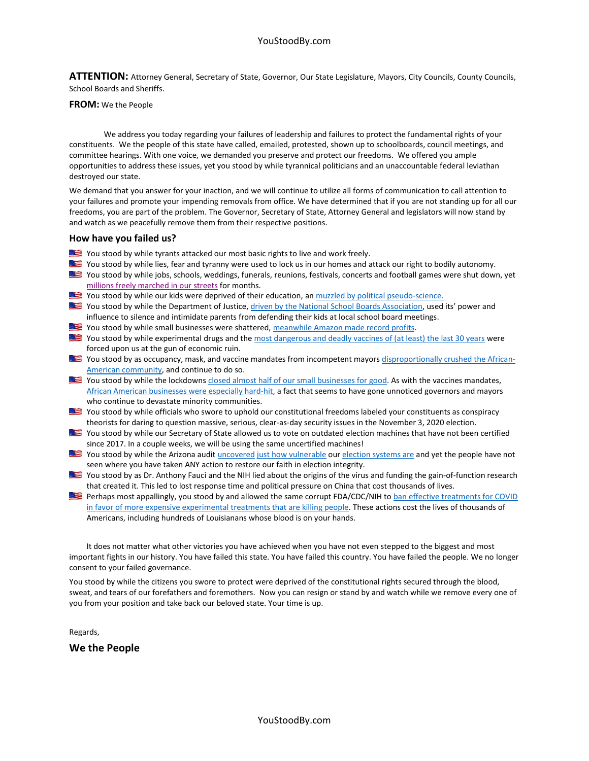**ATTENTION:** Attorney General, Secretary of State, Governor, Our State Legislature, Mayors, City Councils, County Councils, School Boards and Sheriffs.

#### **FROM:** We the People

We address you today regarding your failures of leadership and failures to protect the fundamental rights of your constituents. We the people of this state have called, emailed, protested, shown up to schoolboards, council meetings, and committee hearings. With one voice, we demanded you preserve and protect our freedoms. We offered you ample opportunities to address these issues, yet you stood by while tyrannical politicians and an unaccountable federal leviathan destroyed our state.

We demand that you answer for your inaction, and we will continue to utilize all forms of communication to call attention to your failures and promote your impending removals from office. We have determined that if you are not standing up for all our freedoms, you are part of the problem. The Governor, Secretary of State, Attorney General and legislators will now stand by and watch as we peacefully remove them from their respective positions.

#### **How have you failed us?**

- You stood by while tyrants attacked our most basic rights to live and work freely.
- You stood by while lies, fear and tyranny were used to lock us in our homes and attack our right to bodily autonomy.
- You stood by while jobs, schools, weddings, funerals, reunions, festivals, concerts and football games were shut down, yet [millions freely marched](https://carrcenter.hks.harvard.edu/news/black-lives-matter-may-be-largest-movement-us-history) in our streets for months.
- You stood by while our kids were deprived of their education, an [muzzled by political pseudo-science.](https://www.theblaze.com/op-ed/horowitz-why-masks-dont-work-in-the-real-world)
- You stood by while the Department of Justice[, driven by the National School Boards Association,](https://www.grassley.senate.gov/imo/media/doc/2021-10-07_sjc_to_doj_school_boards.pdf) used its' power and influence to silence and intimidate parents from defending their kids at local school board meetings.
- You stood by while small businesses were shattered, [meanwhile Amazon made record profits.](https://www.businessinsider.com/in-2020-big-businesses-got-bigger-small-businesses-died-2020-12?op=1)
- You stood by while experimental drugs and th[e most dangerous and deadly vaccines of \(at least\) the last 30 years](https://openvaers.com/covid-data) were forced upon us at the gun of economic ruin.
- You stood by as occupancy, mask, and vaccine mandates from incompetent mayors [disproportionally crushed the African-](https://www.newsweek.com/vaccine-mandates-black-lives-matter-activists-collision-course-democrats-1631612)[American community,](https://www.newsweek.com/vaccine-mandates-black-lives-matter-activists-collision-course-democrats-1631612) and continue to do so.
- You stood by while the lockdown[s closed almost half of our small businesses for good.](https://dailycaller.com/2020/09/16/business-closings-permanent-lockdowns-coronavirus/) As with the vaccines mandates, [African American businesses were especially hard-hit,](https://www.breitbart.com/politics/2020/08/13/nolte-lockdowns-wipe-out-nearly-50-of-black-small-businesses/) a fact that seems to have gone unnoticed governors and mayors who continue to devastate minority communities.
- You stood by while officials who swore to uphold our constitutional freedoms labeled your constituents as conspiracy theorists for daring to question massive, serious, clear-as-day security issues in the November 3, 2020 election.
- You stood by while our Secretary of State allowed us to vote on outdated election machines that have not been certified since 2017. In a couple weeks, we will be using the same uncertified machines!
- You stood by while the Arizona audit [uncovered](https://c692f527-da75-4c86-b5d1-8b3d5d4d5b43.filesusr.com/ugd/2f3470_a91b5cd3655445b498f9acc63db35afd.pdf) [just how vulnerable](https://c692f527-da75-4c86-b5d1-8b3d5d4d5b43.filesusr.com/ugd/2f3470_1ec91dd80a024d5d8612c5490de1c460.pdf) our [election systems are](https://cdn.nucleusfiles.com/fe/fe2178f7-654f-4b89-993e-6556f65e70d8/cyber-ninjas-report-vol.-iii.pdf?utm_medium=email&utm_source=ncl_amplify&utm_campaign=20210925-44000_ballots_the_left_wants_you_to_ignore&utm_content=ncl-MDqmNvNvWD&_nlid=MDqmNvNvWD&_nsid=f51bbfb5-198b-4f19-bb67-c1714c8cb8b9) and yet the people have not seen where you have taken ANY action to restore our faith in election integrity.
- You stood by as Dr. Anthony Fauci and the NIH lied about the origins of the virus and funding the gain-of-function research that created it. This led to lost response time and political pressure on China that cost thousands of lives.
- Perhaps most appallingly, you stood by and allowed the same corrupt FDA/CDC/NIH to ban effective treatments for COVID [in favor of more expensive experimental treatments that are killing people.](https://americasfrontlinedoctors.org/2/frontlinenews/indias-most-populous-state-uttar-pradesh-with-nearly-two-hundred-million-people-declared-covid-free-zone-since-government-promoted-ivermectin/) These actions cost the lives of thousands of Americans, including hundreds of Louisianans whose blood is on your hands.

It does not matter what other victories you have achieved when you have not even stepped to the biggest and most important fights in our history. You have failed this state. You have failed this country. You have failed the people. We no longer consent to your failed governance.

You stood by while the citizens you swore to protect were deprived of the constitutional rights secured through the blood, sweat, and tears of our forefathers and foremothers. Now you can resign or stand by and watch while we remove every one of you from your position and take back our beloved state. Your time is up.

Regards,

**We the People**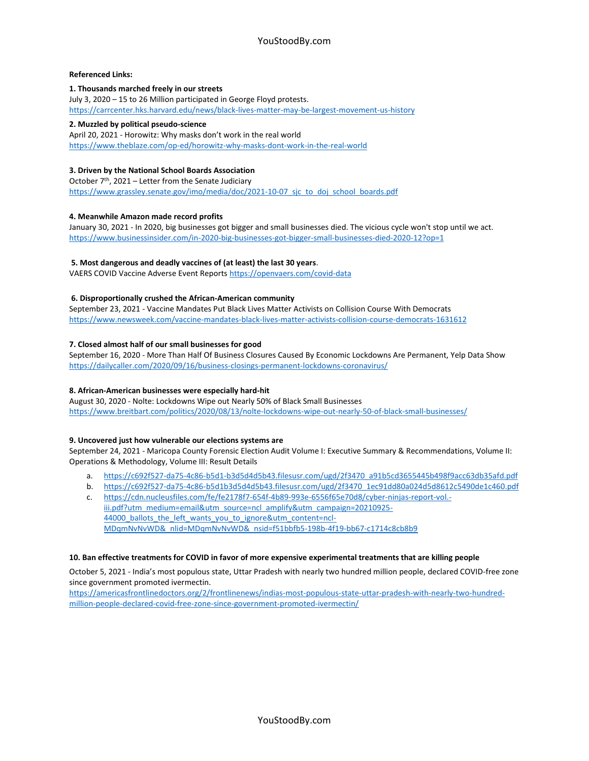## **Referenced Links:**

## **1. Thousands marched freely in our streets**

July 3, 2020 – 15 to 26 Million participated in George Floyd protests. <https://carrcenter.hks.harvard.edu/news/black-lives-matter-may-be-largest-movement-us-history>

## **2. Muzzled by political pseudo-science**

April 20, 2021 - Horowitz: Why masks don't work in the real world <https://www.theblaze.com/op-ed/horowitz-why-masks-dont-work-in-the-real-world>

# **3. Driven by the National School Boards Association**

October 7th, 2021 – Letter from the Senate Judiciary [https://www.grassley.senate.gov/imo/media/doc/2021-10-07\\_sjc\\_to\\_doj\\_school\\_boards.pdf](https://www.grassley.senate.gov/imo/media/doc/2021-10-07_sjc_to_doj_school_boards.pdf)

# **4. Meanwhile Amazon made record profits**

January 30, 2021 - In 2020, big businesses got bigger and small businesses died. The vicious cycle won't stop until we act. <https://www.businessinsider.com/in-2020-big-businesses-got-bigger-small-businesses-died-2020-12?op=1>

# **5. Most dangerous and deadly vaccines of (at least) the last 30 years**.

VAERS COVID Vaccine Adverse Event Report[s https://openvaers.com/covid-data](https://openvaers.com/covid-data)

# **6. Disproportionally crushed the African-American community**

September 23, 2021 - Vaccine Mandates Put Black Lives Matter Activists on Collision Course With Democrats <https://www.newsweek.com/vaccine-mandates-black-lives-matter-activists-collision-course-democrats-1631612>

## **7. Closed almost half of our small businesses for good**

September 16, 2020 - More Than Half Of Business Closures Caused By Economic Lockdowns Are Permanent, Yelp Data Show <https://dailycaller.com/2020/09/16/business-closings-permanent-lockdowns-coronavirus/>

# **8. African-American businesses were especially hard-hit**

August 30, 2020 - Nolte: Lockdowns Wipe out Nearly 50% of Black Small Businesses <https://www.breitbart.com/politics/2020/08/13/nolte-lockdowns-wipe-out-nearly-50-of-black-small-businesses/>

#### **9. Uncovered just how vulnerable our elections systems are**

September 24, 2021 - Maricopa County Forensic Election Audit Volume I: Executive Summary & Recommendations, Volume II: Operations & Methodology, Volume III: Result Details

- a. [https://c692f527-da75-4c86-b5d1-b3d5d4d5b43.filesusr.com/ugd/2f3470\\_a91b5cd3655445b498f9acc63db35afd.pdf](https://c692f527-da75-4c86-b5d1-b3d5d4d5b43.filesusr.com/ugd/2f3470_a91b5cd3655445b498f9acc63db35afd.pdf)
- b. [https://c692f527-da75-4c86-b5d1b3d5d4d5b43.filesusr.com/ugd/2f3470\\_1ec91dd80a024d5d8612c5490de1c460.pdf](https://c692f527-da75-4c86-b5d1b3d5d4d5b43.filesusr.com/ugd/2f3470_1ec91dd80a024d5d8612c5490de1c460.pdf)
- c. [https://cdn.nucleusfiles.com/fe/fe2178f7-654f-4b89-993e-6556f65e70d8/cyber-ninjas-report-vol.](https://cdn.nucleusfiles.com/fe/fe2178f7-654f-4b89-993e-6556f65e70d8/cyber-ninjas-report-vol.-iii.pdf?utm_medium=email&utm_source=ncl_amplify&utm_campaign=20210925-44000_ballots_the_left_wants_you_to_ignore&utm_content=ncl-MDqmNvNvWD&_nlid=MDqmNvNvWD&_nsid=f51bbfb5-198b-4f19-bb67-c1714c8cb8b9) [iii.pdf?utm\\_medium=email&utm\\_source=ncl\\_amplify&utm\\_campaign=20210925-](https://cdn.nucleusfiles.com/fe/fe2178f7-654f-4b89-993e-6556f65e70d8/cyber-ninjas-report-vol.-iii.pdf?utm_medium=email&utm_source=ncl_amplify&utm_campaign=20210925-44000_ballots_the_left_wants_you_to_ignore&utm_content=ncl-MDqmNvNvWD&_nlid=MDqmNvNvWD&_nsid=f51bbfb5-198b-4f19-bb67-c1714c8cb8b9) 44000 ballots the left wants you to ignore&utm content=ncl-[MDqmNvNvWD&\\_nlid=MDqmNvNvWD&\\_nsid=f51bbfb5-198b-4f19-bb67-c1714c8cb8b9](https://cdn.nucleusfiles.com/fe/fe2178f7-654f-4b89-993e-6556f65e70d8/cyber-ninjas-report-vol.-iii.pdf?utm_medium=email&utm_source=ncl_amplify&utm_campaign=20210925-44000_ballots_the_left_wants_you_to_ignore&utm_content=ncl-MDqmNvNvWD&_nlid=MDqmNvNvWD&_nsid=f51bbfb5-198b-4f19-bb67-c1714c8cb8b9)

#### **10. Ban effective treatments for COVID in favor of more expensive experimental treatments that are killing people**

October 5, 2021 - India's most populous state, Uttar Pradesh with nearly two hundred million people, declared COVID-free zone since government promoted ivermectin.

[https://americasfrontlinedoctors.org/2/frontlinenews/indias-most-populous-state-uttar-pradesh-with-nearly-two-hundred](https://americasfrontlinedoctors.org/2/frontlinenews/indias-most-populous-state-uttar-pradesh-with-nearly-two-hundred-million-people-declared-covid-free-zone-since-government-promoted-ivermectin/)[million-people-declared-covid-free-zone-since-government-promoted-ivermectin/](https://americasfrontlinedoctors.org/2/frontlinenews/indias-most-populous-state-uttar-pradesh-with-nearly-two-hundred-million-people-declared-covid-free-zone-since-government-promoted-ivermectin/)